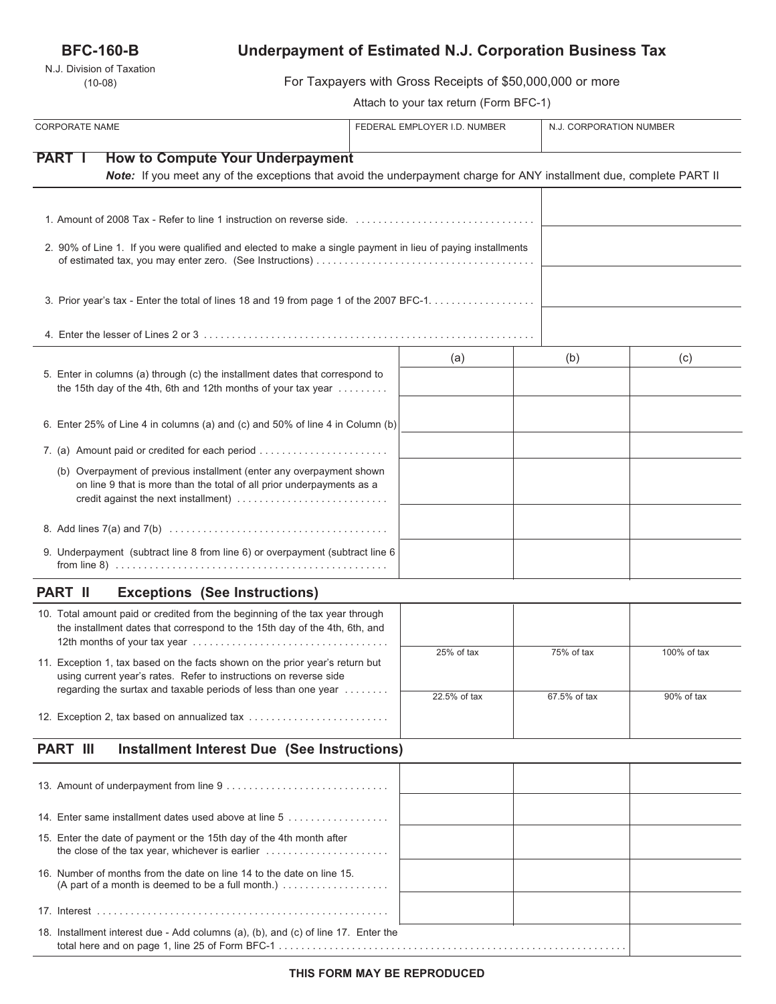## **BFC-160-B**

N.J. Division of Taxation (10-08)

# **Underpayment of Estimated N.J. Corporation Business Tax**

For Taxpayers with Gross Receipts of \$50,000,000 or more

Attach to your tax return (Form BFC-1)

| <b>CORPORATE NAME</b>                                                                                                                                                                 | FEDERAL EMPLOYER I.D. NUMBER |              | N.J. CORPORATION NUMBER |  |
|---------------------------------------------------------------------------------------------------------------------------------------------------------------------------------------|------------------------------|--------------|-------------------------|--|
| <b>PART I</b><br><b>How to Compute Your Underpayment</b>                                                                                                                              |                              |              |                         |  |
| Note: If you meet any of the exceptions that avoid the underpayment charge for ANY installment due, complete PART II                                                                  |                              |              |                         |  |
|                                                                                                                                                                                       |                              |              |                         |  |
|                                                                                                                                                                                       |                              |              |                         |  |
| 2. 90% of Line 1. If you were qualified and elected to make a single payment in lieu of paying installments                                                                           |                              |              |                         |  |
| 3. Prior year's tax - Enter the total of lines 18 and 19 from page 1 of the 2007 BFC-1.                                                                                               |                              |              |                         |  |
|                                                                                                                                                                                       |                              |              |                         |  |
|                                                                                                                                                                                       | (a)                          | (b)          | (c)                     |  |
| 5. Enter in columns (a) through (c) the installment dates that correspond to<br>the 15th day of the 4th, 6th and 12th months of your tax year                                         |                              |              |                         |  |
| 6. Enter 25% of Line 4 in columns (a) and (c) and 50% of line 4 in Column (b)                                                                                                         |                              |              |                         |  |
| 7. (a) Amount paid or credited for each period                                                                                                                                        |                              |              |                         |  |
| (b) Overpayment of previous installment (enter any overpayment shown<br>on line 9 that is more than the total of all prior underpayments as a<br>credit against the next installment) |                              |              |                         |  |
|                                                                                                                                                                                       |                              |              |                         |  |
| 9. Underpayment (subtract line 8 from line 6) or overpayment (subtract line 6                                                                                                         |                              |              |                         |  |
| <b>Exceptions (See Instructions)</b><br><b>PART II</b>                                                                                                                                |                              |              |                         |  |
| 10. Total amount paid or credited from the beginning of the tax year through<br>the installment dates that correspond to the 15th day of the 4th, 6th, and                            |                              |              |                         |  |
| 11. Exception 1, tax based on the facts shown on the prior year's return but<br>using current year's rates. Refer to instructions on reverse side                                     | 25% of tax                   | 75% of tax   | 100% of tax             |  |
| regarding the surtax and taxable periods of less than one year                                                                                                                        | 22.5% of tax                 | 67.5% of tax | 90% of tax              |  |
| 12. Exception 2, tax based on annualized tax                                                                                                                                          |                              |              |                         |  |
| <b>PART III</b><br><b>Installment Interest Due (See Instructions)</b>                                                                                                                 |                              |              |                         |  |
|                                                                                                                                                                                       |                              |              |                         |  |
| 14. Enter same installment dates used above at line 5                                                                                                                                 |                              |              |                         |  |
| 15. Enter the date of payment or the 15th day of the 4th month after                                                                                                                  |                              |              |                         |  |
| 16. Number of months from the date on line 14 to the date on line 15.<br>(A part of a month is deemed to be a full month.) $\ldots \ldots \ldots \ldots \ldots$                       |                              |              |                         |  |
|                                                                                                                                                                                       |                              |              |                         |  |
| 18. Installment interest due - Add columns (a), (b), and (c) of line 17. Enter the                                                                                                    |                              |              |                         |  |

total here and on page 1, line 25 of Form BFC-1 . . . . . . . . . . . . . . . . . . . . . . . . . . . . . . . . . . . . . . . . . . . . . . . . . . . . . . . . . . . . . .